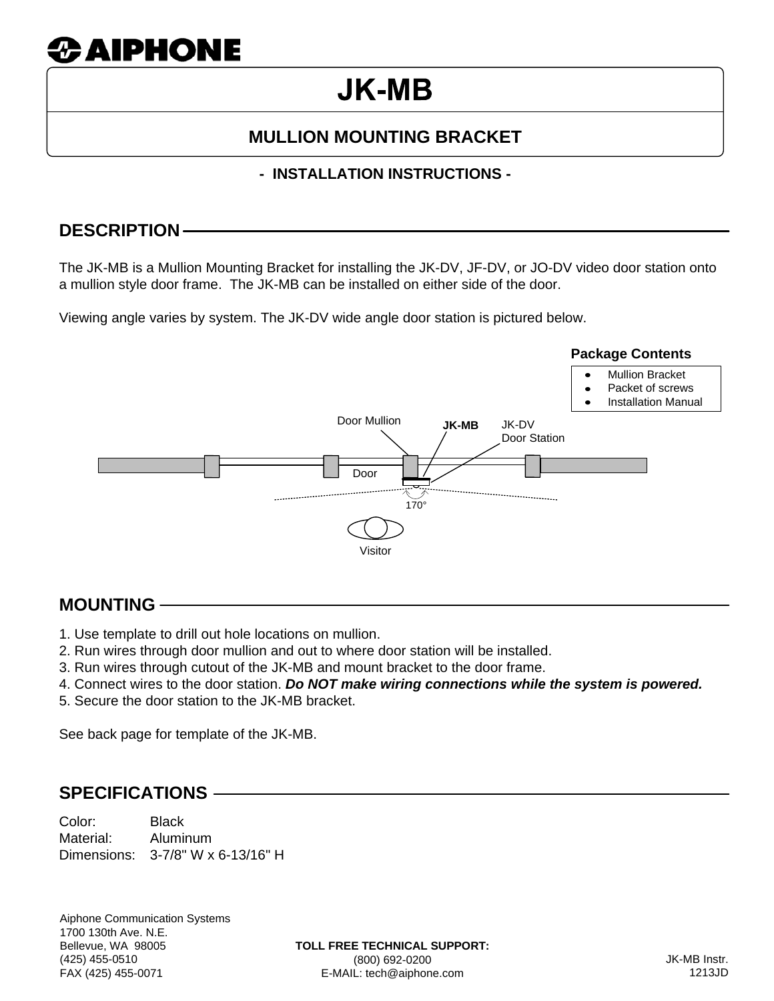# **23 AIPHONE**

## **JK-MB**

## **MULLION MOUNTING BRACKET**

#### **- INSTALLATION INSTRUCTIONS -**

### **DESCRIPTION**

The JK-MB is a Mullion Mounting Bracket for installing the JK-DV, JF-DV, or JO-DV video door station onto a mullion style door frame. The JK-MB can be installed on either side of the door.

Viewing angle varies by system. The JK-DV wide angle door station is pictured below.



## **MOUNTING**

- 1. Use template to drill out hole locations on mullion.
- 2. Run wires through door mullion and out to where door station will be installed.
- 3. Run wires through cutout of the JK-MB and mount bracket to the door frame.
- 4. Connect wires to the door station. *Do NOT make wiring connections while the system is powered.*
- 5. Secure the door station to the JK-MB bracket.

See back page for template of the JK-MB.

#### **SPECIFICATIONS**

Color: Black Material: Aluminum Dimensions: 3-7/8" W x 6-13/16" H

Aiphone Communication Systems 1700 130th Ave. N.E. Bellevue, WA 98005 (425) 455-0510 FAX (425) 455-0071

**TOLL FREE TECHNICAL SUPPORT:** (800) 692-0200 E-MAIL: tech@aiphone.com